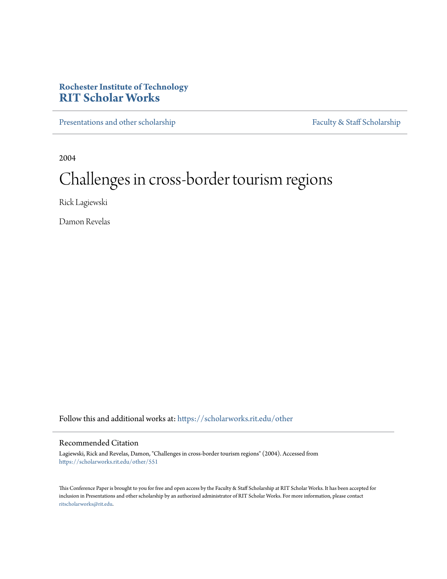# **Rochester Institute of Technology [RIT Scholar Works](https://scholarworks.rit.edu?utm_source=scholarworks.rit.edu%2Fother%2F551&utm_medium=PDF&utm_campaign=PDFCoverPages)**

[Presentations and other scholarship](https://scholarworks.rit.edu/other?utm_source=scholarworks.rit.edu%2Fother%2F551&utm_medium=PDF&utm_campaign=PDFCoverPages) [Faculty & Staff Scholarship](https://scholarworks.rit.edu/facstaff?utm_source=scholarworks.rit.edu%2Fother%2F551&utm_medium=PDF&utm_campaign=PDFCoverPages)

2004

# Challenges in cross-border tourism regions

Rick Lagiewski

Damon Revelas

Follow this and additional works at: [https://scholarworks.rit.edu/other](https://scholarworks.rit.edu/other?utm_source=scholarworks.rit.edu%2Fother%2F551&utm_medium=PDF&utm_campaign=PDFCoverPages)

## Recommended Citation

Lagiewski, Rick and Revelas, Damon, "Challenges in cross-border tourism regions" (2004). Accessed from [https://scholarworks.rit.edu/other/551](https://scholarworks.rit.edu/other/551?utm_source=scholarworks.rit.edu%2Fother%2F551&utm_medium=PDF&utm_campaign=PDFCoverPages)

This Conference Paper is brought to you for free and open access by the Faculty & Staff Scholarship at RIT Scholar Works. It has been accepted for inclusion in Presentations and other scholarship by an authorized administrator of RIT Scholar Works. For more information, please contact [ritscholarworks@rit.edu](mailto:ritscholarworks@rit.edu).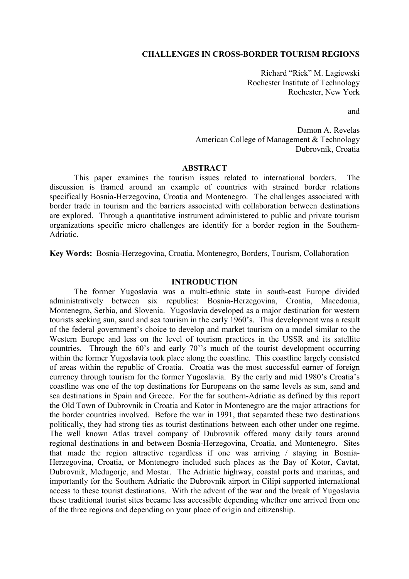## **CHALLENGES IN CROSS-BORDER TOURISM REGIONS**

Richard "Rick" M. Lagiewski Rochester Institute of Technology Rochester, New York

and

Damon A. Revelas American College of Management & Technology Dubrovnik, Croatia

#### **ABSTRACT**

This paper examines the tourism issues related to international borders. The discussion is framed around an example of countries with strained border relations specifically Bosnia-Herzegovina, Croatia and Montenegro. The challenges associated with border trade in tourism and the barriers associated with collaboration between destinations are explored. Through a quantitative instrument administered to public and private tourism organizations specific micro challenges are identify for a border region in the Southern-Adriatic.

**Key Words:** Bosnia-Herzegovina, Croatia, Montenegro, Borders, Tourism, Collaboration

## **INTRODUCTION**

The former Yugoslavia was a multi-ethnic state in south-east Europe divided administratively between six republics: Bosnia-Herzegovina, Croatia, Macedonia, Montenegro, Serbia, and Slovenia. Yugoslavia developed as a major destination for western tourists seeking sun, sand and sea tourism in the early 1960's. This development was a result of the federal government's choice to develop and market tourism on a model similar to the Western Europe and less on the level of tourism practices in the USSR and its satellite countries. Through the 60's and early 70''s much of the tourist development occurring within the former Yugoslavia took place along the coastline. This coastline largely consisted of areas within the republic of Croatia. Croatia was the most successful earner of foreign currency through tourism for the former Yugoslavia. By the early and mid 1980's Croatia's coastline was one of the top destinations for Europeans on the same levels as sun, sand and sea destinations in Spain and Greece. For the far southern-Adriatic as defined by this report the Old Town of Dubrovnik in Croatia and Kotor in Montenegro are the major attractions for the border countries involved. Before the war in 1991, that separated these two destinations politically, they had strong ties as tourist destinations between each other under one regime. The well known Atlas travel company of Dubrovnik offered many daily tours around regional destinations in and between Bosnia-Herzegovina, Croatia, and Montenegro. Sites that made the region attractive regardless if one was arriving / staying in Bosnia-Herzegovina, Croatia, or Montenegro included such places as the Bay of Kotor, Cavtat, Dubrovnik, Medugorje, and Mostar. The Adriatic highway, coastal ports and marinas, and importantly for the Southern Adriatic the Dubrovnik airport in Cilipi supported international access to these tourist destinations. With the advent of the war and the break of Yugoslavia these traditional tourist sites became less accessible depending whether one arrived from one of the three regions and depending on your place of origin and citizenship.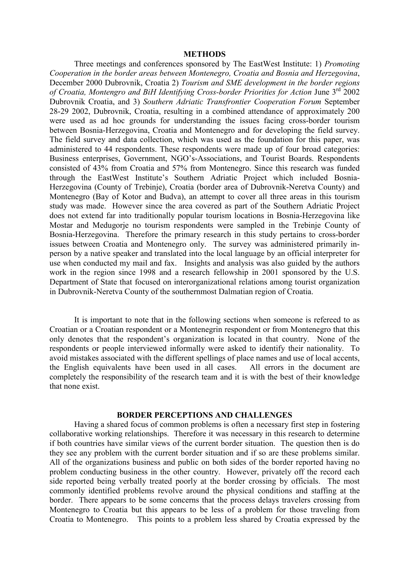#### **METHODS**

 Three meetings and conferences sponsored by The EastWest Institute: 1) *Promoting Cooperation in the border areas between Montenegro, Croatia and Bosnia and Herzegovina*, December 2000 Dubrovnik, Croatia 2) *Tourism and SME development in the border regions of Croatia, Montengro and BiH Identifying Cross-border Priorities for Action* June 3rd 2002 Dubrovnik Croatia, and 3) *Southern Adriatic Transfrontier Cooperation Forum* September 28-29 2002, Dubrovnik, Croatia, resulting in a combined attendance of approximately 200 were used as ad hoc grounds for understanding the issues facing cross-border tourism between Bosnia-Herzegovina, Croatia and Montenegro and for developing the field survey. The field survey and data collection, which was used as the foundation for this paper, was administered to 44 respondents. These respondents were made up of four broad categories: Business enterprises, Government, NGO's-Associations, and Tourist Boards. Respondents consisted of 43% from Croatia and 57% from Montenegro. Since this research was funded through the EastWest Institute's Southern Adriatic Project which included Bosnia-Herzegovina (County of Trebinje), Croatia (border area of Dubrovnik-Neretva County) and Montenegro (Bay of Kotor and Budva), an attempt to cover all three areas in this tourism study was made. However since the area covered as part of the Southern Adriatic Project does not extend far into traditionally popular tourism locations in Bosnia-Herzegovina like Mostar and Medugorje no tourism respondents were sampled in the Trebinje County of Bosnia-Herzegovina. Therefore the primary research in this study pertains to cross-border issues between Croatia and Montenegro only. The survey was administered primarily inperson by a native speaker and translated into the local language by an official interpreter for use when conducted my mail and fax. Insights and analysis was also guided by the authors work in the region since 1998 and a research fellowship in 2001 sponsored by the U.S. Department of State that focused on interorganizational relations among tourist organization in Dubrovnik-Neretva County of the southernmost Dalmatian region of Croatia.

 It is important to note that in the following sections when someone is refereed to as Croatian or a Croatian respondent or a Montenegrin respondent or from Montenegro that this only denotes that the respondent's organization is located in that country. None of the respondents or people interviewed informally were asked to identify their nationality. To avoid mistakes associated with the different spellings of place names and use of local accents, the English equivalents have been used in all cases. All errors in the document are completely the responsibility of the research team and it is with the best of their knowledge that none exist.

#### **BORDER PERCEPTIONS AND CHALLENGES**

Having a shared focus of common problems is often a necessary first step in fostering collaborative working relationships. Therefore it was necessary in this research to determine if both countries have similar views of the current border situation. The question then is do they see any problem with the current border situation and if so are these problems similar. All of the organizations business and public on both sides of the border reported having no problem conducting business in the other country. However, privately off the record each side reported being verbally treated poorly at the border crossing by officials. The most commonly identified problems revolve around the physical conditions and staffing at the border. There appears to be some concerns that the process delays travelers crossing from Montenegro to Croatia but this appears to be less of a problem for those traveling from Croatia to Montenegro. This points to a problem less shared by Croatia expressed by the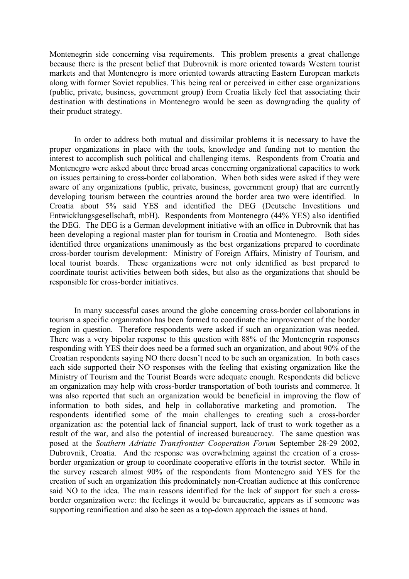Montenegrin side concerning visa requirements. This problem presents a great challenge because there is the present belief that Dubrovnik is more oriented towards Western tourist markets and that Montenegro is more oriented towards attracting Eastern European markets along with former Soviet republics. This being real or perceived in either case organizations (public, private, business, government group) from Croatia likely feel that associating their destination with destinations in Montenegro would be seen as downgrading the quality of their product strategy.

In order to address both mutual and dissimilar problems it is necessary to have the proper organizations in place with the tools, knowledge and funding not to mention the interest to accomplish such political and challenging items. Respondents from Croatia and Montenegro were asked about three broad areas concerning organizational capacities to work on issues pertaining to cross-border collaboration. When both sides were asked if they were aware of any organizations (public, private, business, government group) that are currently developing tourism between the countries around the border area two were identified. In Croatia about 5% said YES and identified the DEG (Deutsche Investitions und Entwicklungsgesellschaft, mbH). Respondents from Montenegro (44% YES) also identified the DEG. The DEG is a German development initiative with an office in Dubrovnik that has been developing a regional master plan for tourism in Croatia and Montenegro. Both sides identified three organizations unanimously as the best organizations prepared to coordinate cross-border tourism development: Ministry of Foreign Affairs, Ministry of Tourism, and local tourist boards. These organizations were not only identified as best prepared to coordinate tourist activities between both sides, but also as the organizations that should be responsible for cross-border initiatives.

In many successful cases around the globe concerning cross-border collaborations in tourism a specific organization has been formed to coordinate the improvement of the border region in question. Therefore respondents were asked if such an organization was needed. There was a very bipolar response to this question with 88% of the Montenegrin responses responding with YES their does need be a formed such an organization, and about 90% of the Croatian respondents saying NO there doesn't need to be such an organization. In both cases each side supported their NO responses with the feeling that existing organization like the Ministry of Tourism and the Tourist Boards were adequate enough. Respondents did believe an organization may help with cross-border transportation of both tourists and commerce. It was also reported that such an organization would be beneficial in improving the flow of information to both sides, and help in collaborative marketing and promotion. The respondents identified some of the main challenges to creating such a cross-border organization as: the potential lack of financial support, lack of trust to work together as a result of the war, and also the potential of increased bureaucracy. The same question was posed at the *Southern Adriatic Transfrontier Cooperation Forum* September 28-29 2002, Dubrovnik, Croatia. And the response was overwhelming against the creation of a crossborder organization or group to coordinate cooperative efforts in the tourist sector. While in the survey research almost 90% of the respondents from Montenegro said YES for the creation of such an organization this predominately non-Croatian audience at this conference said NO to the idea. The main reasons identified for the lack of support for such a crossborder organization were: the feelings it would be bureaucratic, appears as if someone was supporting reunification and also be seen as a top-down approach the issues at hand.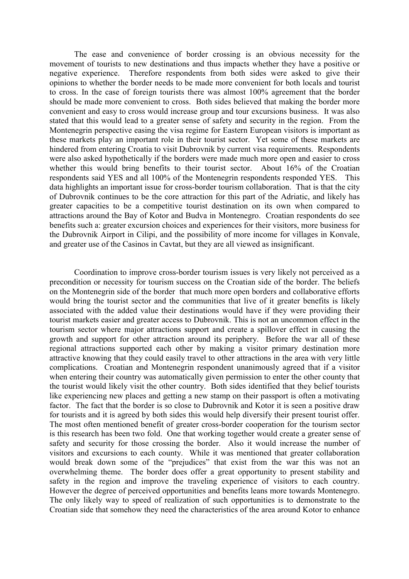The ease and convenience of border crossing is an obvious necessity for the movement of tourists to new destinations and thus impacts whether they have a positive or negative experience. Therefore respondents from both sides were asked to give their opinions to whether the border needs to be made more convenient for both locals and tourist to cross. In the case of foreign tourists there was almost 100% agreement that the border should be made more convenient to cross. Both sides believed that making the border more convenient and easy to cross would increase group and tour excursions business. It was also stated that this would lead to a greater sense of safety and security in the region. From the Montenegrin perspective easing the visa regime for Eastern European visitors is important as these markets play an important role in their tourist sector. Yet some of these markets are hindered from entering Croatia to visit Dubrovnik by current visa requirements. Respondents were also asked hypothetically if the borders were made much more open and easier to cross whether this would bring benefits to their tourist sector. About 16% of the Croatian respondents said YES and all 100% of the Montenegrin respondents responded YES. This data highlights an important issue for cross-border tourism collaboration. That is that the city of Dubrovnik continues to be the core attraction for this part of the Adriatic, and likely has greater capacities to be a competitive tourist destination on its own when compared to attractions around the Bay of Kotor and Budva in Montenegro. Croatian respondents do see benefits such a: greater excursion choices and experiences for their visitors, more business for the Dubrovnik Airport in Cilipi, and the possibility of more income for villages in Konvale, and greater use of the Casinos in Cavtat, but they are all viewed as insignificant.

Coordination to improve cross-border tourism issues is very likely not perceived as a precondition or necessity for tourism success on the Croatian side of the border. The beliefs on the Montenegrin side of the border that much more open borders and collaborative efforts would bring the tourist sector and the communities that live of it greater benefits is likely associated with the added value their destinations would have if they were providing their tourist markets easier and greater access to Dubrovnik. This is not an uncommon effect in the tourism sector where major attractions support and create a spillover effect in causing the growth and support for other attraction around its periphery. Before the war all of these regional attractions supported each other by making a visitor primary destination more attractive knowing that they could easily travel to other attractions in the area with very little complications. Croatian and Montenegrin respondent unanimously agreed that if a visitor when entering their country was automatically given permission to enter the other county that the tourist would likely visit the other country. Both sides identified that they belief tourists like experiencing new places and getting a new stamp on their passport is often a motivating factor. The fact that the border is so close to Dubrovnik and Kotor it is seen a positive draw for tourists and it is agreed by both sides this would help diversify their present tourist offer. The most often mentioned benefit of greater cross-border cooperation for the tourism sector is this research has been two fold. One that working together would create a greater sense of safety and security for those crossing the border. Also it would increase the number of visitors and excursions to each county. While it was mentioned that greater collaboration would break down some of the "prejudices" that exist from the war this was not an overwhelming theme. The border does offer a great opportunity to present stability and safety in the region and improve the traveling experience of visitors to each country. However the degree of perceived opportunities and benefits leans more towards Montenegro. The only likely way to speed of realization of such opportunities is to demonstrate to the Croatian side that somehow they need the characteristics of the area around Kotor to enhance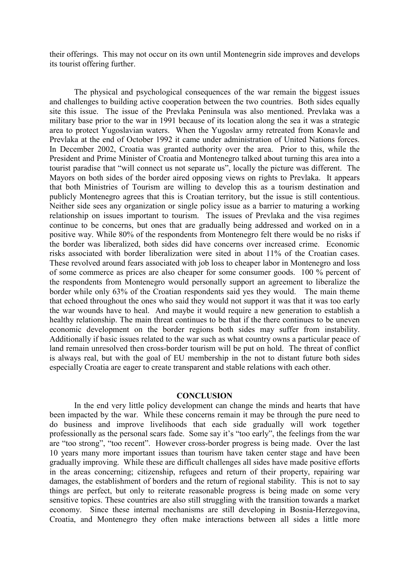their offerings. This may not occur on its own until Montenegrin side improves and develops its tourist offering further.

The physical and psychological consequences of the war remain the biggest issues and challenges to building active cooperation between the two countries. Both sides equally site this issue. The issue of the Prevlaka Peninsula was also mentioned. Prevlaka was a military base prior to the war in 1991 because of its location along the sea it was a strategic area to protect Yugoslavian waters. When the Yugoslav army retreated from Konavle and Prevlaka at the end of October 1992 it came under administration of United Nations forces. In December 2002, Croatia was granted authority over the area. Prior to this, while the President and Prime Minister of Croatia and Montenegro talked about turning this area into a tourist paradise that "will connect us not separate us", locally the picture was different. The Mayors on both sides of the border aired opposing views on rights to Prevlaka. It appears that both Ministries of Tourism are willing to develop this as a tourism destination and publicly Montenegro agrees that this is Croatian territory, but the issue is still contentious. Neither side sees any organization or single policy issue as a barrier to maturing a working relationship on issues important to tourism. The issues of Prevlaka and the visa regimes continue to be concerns, but ones that are gradually being addressed and worked on in a positive way. While 80% of the respondents from Montenegro felt there would be no risks if the border was liberalized, both sides did have concerns over increased crime. Economic risks associated with border liberalization were sited in about 11% of the Croatian cases. These revolved around fears associated with job loss to cheaper labor in Montenegro and loss of some commerce as prices are also cheaper for some consumer goods. 100 % percent of the respondents from Montenegro would personally support an agreement to liberalize the border while only 63% of the Croatian respondents said yes they would. The main theme that echoed throughout the ones who said they would not support it was that it was too early the war wounds have to heal. And maybe it would require a new generation to establish a healthy relationship. The main threat continues to be that if the there continues to be uneven economic development on the border regions both sides may suffer from instability. Additionally if basic issues related to the war such as what country owns a particular peace of land remain unresolved then cross-border tourism will be put on hold. The threat of conflict is always real, but with the goal of EU membership in the not to distant future both sides especially Croatia are eager to create transparent and stable relations with each other.

#### **CONCLUSION**

In the end very little policy development can change the minds and hearts that have been impacted by the war. While these concerns remain it may be through the pure need to do business and improve livelihoods that each side gradually will work together professionally as the personal scars fade. Some say it's "too early", the feelings from the war are "too strong", "too recent". However cross-border progress is being made. Over the last 10 years many more important issues than tourism have taken center stage and have been gradually improving. While these are difficult challenges all sides have made positive efforts in the areas concerning; citizenship, refugees and return of their property, repairing war damages, the establishment of borders and the return of regional stability. This is not to say things are perfect, but only to reiterate reasonable progress is being made on some very sensitive topics. These countries are also still struggling with the transition towards a market economy. Since these internal mechanisms are still developing in Bosnia-Herzegovina, Croatia, and Montenegro they often make interactions between all sides a little more